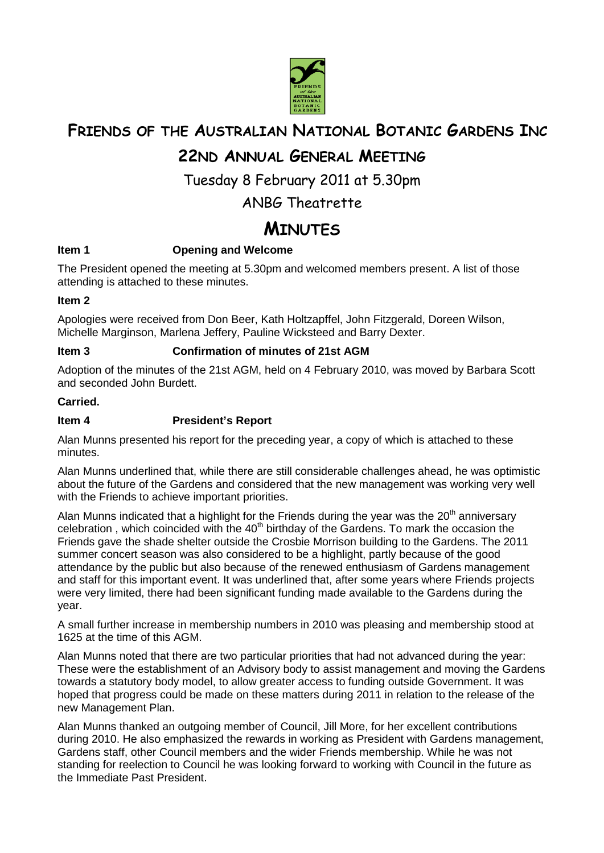

# **FRIENDS OF THE AUSTRALIAN NATIONAL BOTANIC GARDENS INC**

# **22ND ANNUAL GENERAL MEETING**

Tuesday 8 February 2011 at 5.30pm

## ANBG Theatrette

# **MINUTES**

## **Item 1** Opening and Welcome

The President opened the meeting at 5.30pm and welcomed members present. A list of those attending is attached to these minutes.

#### **Item 2**

Apologies were received from Don Beer, Kath Holtzapffel, John Fitzgerald, Doreen Wilson, Michelle Marginson, Marlena Jeffery, Pauline Wicksteed and Barry Dexter.

#### **Item 3 Confirmation of minutes of 21st AGM**

Adoption of the minutes of the 21st AGM, held on 4 February 2010, was moved by Barbara Scott and seconded John Burdett.

#### **Carried.**

#### **Item 4 President's Report**

Alan Munns presented his report for the preceding year, a copy of which is attached to these minutes.

Alan Munns underlined that, while there are still considerable challenges ahead, he was optimistic about the future of the Gardens and considered that the new management was working very well with the Friends to achieve important priorities.

Alan Munns indicated that a highlight for the Friends during the year was the  $20<sup>th</sup>$  anniversary celebration, which coincided with the  $40<sup>th</sup>$  birthday of the Gardens. To mark the occasion the Friends gave the shade shelter outside the Crosbie Morrison building to the Gardens. The 2011 summer concert season was also considered to be a highlight, partly because of the good attendance by the public but also because of the renewed enthusiasm of Gardens management and staff for this important event. It was underlined that, after some years where Friends projects were very limited, there had been significant funding made available to the Gardens during the year.

A small further increase in membership numbers in 2010 was pleasing and membership stood at 1625 at the time of this AGM.

Alan Munns noted that there are two particular priorities that had not advanced during the year: These were the establishment of an Advisory body to assist management and moving the Gardens towards a statutory body model, to allow greater access to funding outside Government. It was hoped that progress could be made on these matters during 2011 in relation to the release of the new Management Plan.

Alan Munns thanked an outgoing member of Council, Jill More, for her excellent contributions during 2010. He also emphasized the rewards in working as President with Gardens management, Gardens staff, other Council members and the wider Friends membership. While he was not standing for reelection to Council he was looking forward to working with Council in the future as the Immediate Past President.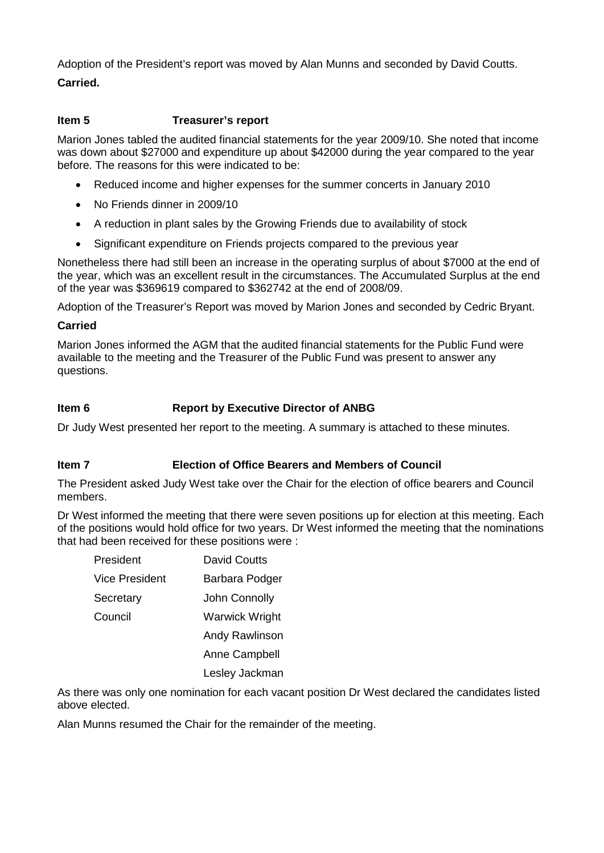Adoption of the President's report was moved by Alan Munns and seconded by David Coutts.

## **Carried.**

#### **Item 5 Treasurer's report**

Marion Jones tabled the audited financial statements for the year 2009/10. She noted that income was down about \$27000 and expenditure up about \$42000 during the year compared to the year before. The reasons for this were indicated to be:

- Reduced income and higher expenses for the summer concerts in January 2010
- No Friends dinner in 2009/10
- A reduction in plant sales by the Growing Friends due to availability of stock
- Significant expenditure on Friends projects compared to the previous year

Nonetheless there had still been an increase in the operating surplus of about \$7000 at the end of the year, which was an excellent result in the circumstances. The Accumulated Surplus at the end of the year was \$369619 compared to \$362742 at the end of 2008/09.

Adoption of the Treasurer's Report was moved by Marion Jones and seconded by Cedric Bryant.

#### **Carried**

Marion Jones informed the AGM that the audited financial statements for the Public Fund were available to the meeting and the Treasurer of the Public Fund was present to answer any questions.

## **Item 6 Report by Executive Director of ANBG**

Dr Judy West presented her report to the meeting. A summary is attached to these minutes.

## **Item 7 Election of Office Bearers and Members of Council**

The President asked Judy West take over the Chair for the election of office bearers and Council members.

Dr West informed the meeting that there were seven positions up for election at this meeting. Each of the positions would hold office for two years. Dr West informed the meeting that the nominations that had been received for these positions were :

| President      | <b>David Coutts</b>   |
|----------------|-----------------------|
| Vice President | Barbara Podger        |
| Secretary      | John Connolly         |
| Council        | <b>Warwick Wright</b> |
|                | Andy Rawlinson        |
|                | <b>Anne Campbell</b>  |
|                | Lesley Jackman        |

As there was only one nomination for each vacant position Dr West declared the candidates listed above elected.

Alan Munns resumed the Chair for the remainder of the meeting.